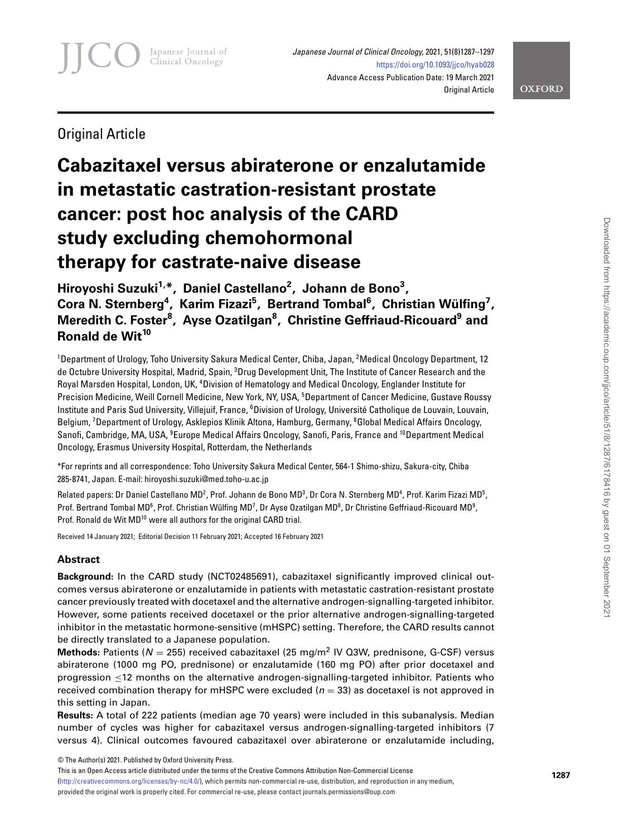Japanese Journal of Clinical Oncology, 2021, 51(8)1287–1297 <https://doi.org/10.1093/jjco/hyab028> Advance Access Publication Date: 19 March 2021 Original Article

**OXFORD** 

Original Article

# **Cabazitaxel versus abiraterone or enzalutamide in metastatic castration-resistant prostate cancer: post hoc analysis of the CARD study excluding chemohormonal therapy for castrate-naive disease**

Hiroyoshi Suzuki<sup>1,\*</sup>, Daniel Castellano<sup>2</sup>, Johann de Bono<sup>3</sup>, Cora N. Sternberg<sup>4</sup>, Karim Fizazi<sup>5</sup>, Bertrand Tombal<sup>6</sup>, Christian Wülfing<sup>7</sup>, **Meredith C. Foster8 , Ayse Ozatilgan<sup>8</sup> , Christine Geffriaud-Ricouard9 and Ronald de Wit<sup>10</sup>**

<sup>1</sup>Department of Urology, Toho University Sakura Medical Center, Chiba, Japan, <sup>2</sup>Medical Oncology Department, 12 de Octubre University Hospital, Madrid, Spain, <sup>3</sup>Drug Development Unit, The Institute of Cancer Research and the Royal Marsden Hospital, London, UK, <sup>4</sup>Division of Hematology and Medical Oncology, Englander Institute for Precision Medicine, Weill Cornell Medicine, New York, NY, USA, <sup>5</sup>Department of Cancer Medicine, Gustave Roussy Institute and Paris Sud University, Villejuif, France, <sup>6</sup>Division of Urology, Université Catholique de Louvain, Louvain, Belgium, <sup>7</sup>Department of Urology, Asklepios Klinik Altona, Hamburg, Germany, <sup>8</sup>Global Medical Affairs Oncology, Sanofi, Cambridge, MA, USA, <sup>9</sup>Europe Medical Affairs Oncology, Sanofi, Paris, France and <sup>10</sup>Department Medical Oncology, Erasmus University Hospital, Rotterdam, the Netherlands

\*For reprints and all correspondence: Toho University Sakura Medical Center, 564-1 Shimo-shizu, Sakura-city, Chiba 285-8741, Japan. E-mail: hiroyoshi.suzuki@med.toho-u.ac.jp

Related papers: Dr Daniel Castellano MD<sup>2</sup>, Prof. Johann de Bono MD<sup>3</sup>, Dr Cora N. Sternberg MD<sup>4</sup>, Prof. Karim Fizazi MD<sup>5</sup>, Prof. Bertrand Tombal MD<sup>6</sup>, Prof. Christian Wülfing MD<sup>7</sup>, Dr Ayse Ozatilgan MD<sup>8</sup>, Dr Christine Geffriaud-Ricouard MD<sup>9</sup>, Prof. Ronald de Wit MD<sup>10</sup> were all authors for the original CARD trial.

Received 14 January 2021; Editorial Decision 11 February 2021; Accepted 16 February 2021

# **Abstract**

**Background:** In the CARD study (NCT02485691), cabazitaxel significantly improved clinical outcomes versus abiraterone or enzalutamide in patients with metastatic castration-resistant prostate cancer previously treated with docetaxel and the alternative androgen-signalling-targeted inhibitor. However, some patients received docetaxel or the prior alternative androgen-signalling-targeted inhibitor in the metastatic hormone-sensitive (mHSPC) setting. Therefore, the CARD results cannot be directly translated to a Japanese population.

**Methods:** Patients (N = 255) received cabazitaxel (25 mg/m<sup>2</sup> IV Q3W, prednisone, G-CSF) versus abiraterone (1000 mg PO, prednisone) or enzalutamide (160 mg PO) after prior docetaxel and progression ≤12 months on the alternative androgen-signalling-targeted inhibitor. Patients who received combination therapy for mHSPC were excluded ( $n = 33$ ) as docetaxel is not approved in this setting in Japan.

**Results:** A total of 222 patients (median age 70 years) were included in this subanalysis. Median number of cycles was higher for cabazitaxel versus androgen-signalling-targeted inhibitors (7 versus 4). Clinical outcomes favoured cabazitaxel over abiraterone or enzalutamide including,

© The Author(s) 2021. Published by Oxford University Press.

This is an Open Access article distributed under the terms of the Creative Commons Attribution Non-Commercial License [\(http://creativecommons.org/licenses/by-nc/4.0/\)](http://creativecommons.org/licenses/by-nc/4.0/), which permits non-commercial re-use, distribution, and reproduction in any medium, provided the original work is properly cited. For commercial re-use, please contact journals.permissions@oup.com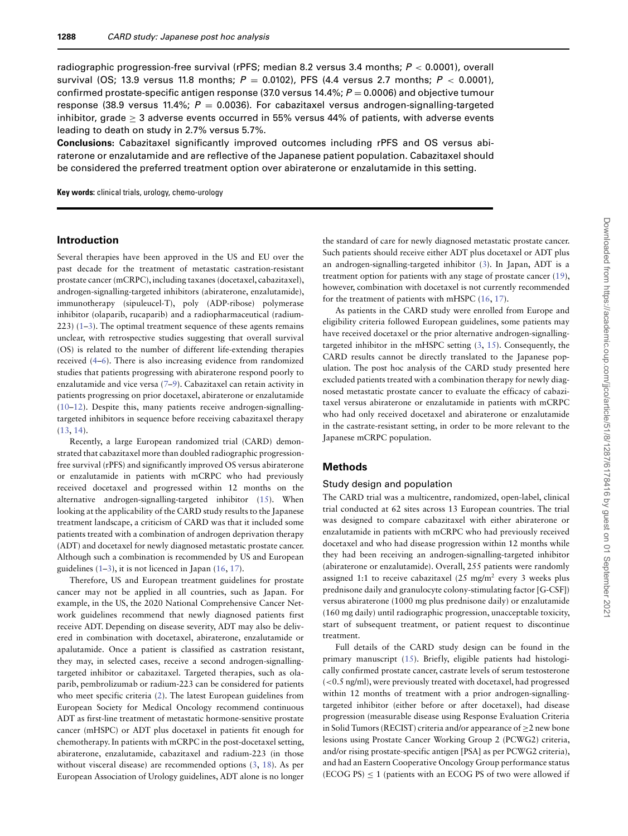radiographic progression-free survival (rPFS; median 8.2 versus 3.4 months; P *<* 0.0001), overall survival (OS; 13.9 versus 11.8 months; P = 0.0102), PFS (4.4 versus 2.7 months; P *<* 0.0001), confirmed prostate-specific antigen response (37.0 versus 14.4%;  $P = 0.0006$ ) and objective tumour response (38.9 versus 11.4%;  $P = 0.0036$ ). For cabazitaxel versus androgen-signalling-targeted inhibitor, grade > 3 adverse events occurred in 55% versus 44% of patients, with adverse events leading to death on study in 2.7% versus 5.7%.

**Conclusions:** Cabazitaxel significantly improved outcomes including rPFS and OS versus abiraterone or enzalutamide and are reflective of the Japanese patient population. Cabazitaxel should be considered the preferred treatment option over abiraterone or enzalutamide in this setting.

**Key words:** clinical trials, urology, chemo-urology

#### **Introduction**

Several therapies have been approved in the US and EU over the past decade for the treatment of metastatic castration-resistant prostate cancer (mCRPC), including taxanes (docetaxel, cabazitaxel), androgen-signalling-targeted inhibitors (abiraterone, enzalutamide), immunotherapy (sipuleucel-T), poly (ADP-ribose) polymerase inhibitor (olaparib, rucaparib) and a radiopharmaceutical (radium-223) [\(1–](#page-9-0)[3\)](#page-9-1). The optimal treatment sequence of these agents remains unclear, with retrospective studies suggesting that overall survival (OS) is related to the number of different life-extending therapies received [\(4](#page-9-2)[–6\)](#page-9-3). There is also increasing evidence from randomized studies that patients progressing with abiraterone respond poorly to enzalutamide and vice versa [\(7–](#page-9-4)[9\)](#page-9-5). Cabazitaxel can retain activity in patients progressing on prior docetaxel, abiraterone or enzalutamide [\(10–](#page-9-6)[12\)](#page-9-7). Despite this, many patients receive androgen-signallingtargeted inhibitors in sequence before receiving cabazitaxel therapy [\(13,](#page-9-8) [14\)](#page-9-9).

Recently, a large European randomized trial (CARD) demonstrated that cabazitaxel more than doubled radiographic progressionfree survival (rPFS) and significantly improved OS versus abiraterone or enzalutamide in patients with mCRPC who had previously received docetaxel and progressed within 12 months on the alternative androgen-signalling-targeted inhibitor [\(15\)](#page-9-10). When looking at the applicability of the CARD study results to the Japanese treatment landscape, a criticism of CARD was that it included some patients treated with a combination of androgen deprivation therapy (ADT) and docetaxel for newly diagnosed metastatic prostate cancer. Although such a combination is recommended by US and European guidelines  $(1-3)$  $(1-3)$ , it is not licenced in Japan  $(16, 17)$  $(16, 17)$  $(16, 17)$ .

Therefore, US and European treatment guidelines for prostate cancer may not be applied in all countries, such as Japan. For example, in the US, the 2020 National Comprehensive Cancer Network guidelines recommend that newly diagnosed patients first receive ADT. Depending on disease severity, ADT may also be delivered in combination with docetaxel, abiraterone, enzalutamide or apalutamide. Once a patient is classified as castration resistant, they may, in selected cases, receive a second androgen-signallingtargeted inhibitor or cabazitaxel. Targeted therapies, such as olaparib, pembrolizumab or radium-223 can be considered for patients who meet specific criteria [\(2\)](#page-9-11). The latest European guidelines from European Society for Medical Oncology recommend continuous ADT as first-line treatment of metastatic hormone-sensitive prostate cancer (mHSPC) or ADT plus docetaxel in patients fit enough for chemotherapy. In patients with mCRPC in the post-docetaxel setting, abiraterone, enzalutamide, cabazitaxel and radium-223 (in those without visceral disease) are recommended options [\(3,](#page-9-1) [18\)](#page-10-2). As per European Association of Urology guidelines, ADT alone is no longer

the standard of care for newly diagnosed metastatic prostate cancer. Such patients should receive either ADT plus docetaxel or ADT plus an androgen-signalling-targeted inhibitor [\(3\)](#page-9-1). In Japan, ADT is a treatment option for patients with any stage of prostate cancer [\(19\)](#page-10-3), however, combination with docetaxel is not currently recommended for the treatment of patients with mHSPC [\(16,](#page-10-0) [17\)](#page-10-1).

As patients in the CARD study were enrolled from Europe and eligibility criteria followed European guidelines, some patients may have received docetaxel or the prior alternative androgen-signallingtargeted inhibitor in the mHSPC setting [\(3,](#page-9-1) [15\)](#page-9-10). Consequently, the CARD results cannot be directly translated to the Japanese population. The post hoc analysis of the CARD study presented here excluded patients treated with a combination therapy for newly diagnosed metastatic prostate cancer to evaluate the efficacy of cabazitaxel versus abiraterone or enzalutamide in patients with mCRPC who had only received docetaxel and abiraterone or enzalutamide in the castrate-resistant setting, in order to be more relevant to the Japanese mCRPC population.

# **Methods**

#### Study design and population

The CARD trial was a multicentre, randomized, open-label, clinical trial conducted at 62 sites across 13 European countries. The trial was designed to compare cabazitaxel with either abiraterone or enzalutamide in patients with mCRPC who had previously received docetaxel and who had disease progression within 12 months while they had been receiving an androgen-signalling-targeted inhibitor (abiraterone or enzalutamide). Overall, 255 patients were randomly assigned 1:1 to receive cabazitaxel  $(25 \text{ mg/m}^2 \text{ every } 3 \text{ weeks plus})$ prednisone daily and granulocyte colony-stimulating factor [G-CSF]) versus abiraterone (1000 mg plus prednisone daily) or enzalutamide (160 mg daily) until radiographic progression, unacceptable toxicity, start of subsequent treatment, or patient request to discontinue treatment.

Full details of the CARD study design can be found in the primary manuscript [\(15\)](#page-9-10). Briefly, eligible patients had histologically confirmed prostate cancer, castrate levels of serum testosterone (*<*0.5 ng/ml), were previously treated with docetaxel, had progressed within 12 months of treatment with a prior androgen-signallingtargeted inhibitor (either before or after docetaxel), had disease progression (measurable disease using Response Evaluation Criteria in Solid Tumors (RECIST) criteria and/or appearance of  $\geq$ 2 new bone lesions using Prostate Cancer Working Group 2 (PCWG2) criteria, and/or rising prostate-specific antigen [PSA] as per PCWG2 criteria), and had an Eastern Cooperative Oncology Group performance status  $(ECOG PS) \le 1$  (patients with an ECOG PS of two were allowed if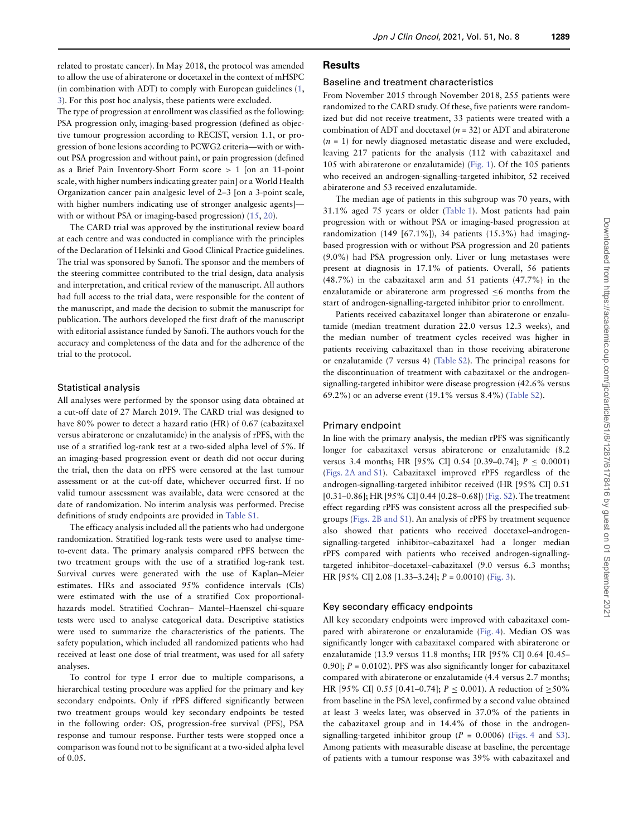related to prostate cancer). In May 2018, the protocol was amended to allow the use of abiraterone or docetaxel in the context of mHSPC (in combination with ADT) to comply with European guidelines [\(1,](#page-9-0) [3\)](#page-9-1). For this post hoc analysis, these patients were excluded.

The type of progression at enrollment was classified as the following: PSA progression only, imaging-based progression (defined as objective tumour progression according to RECIST, version 1.1, or progression of bone lesions according to PCWG2 criteria—with or without PSA progression and without pain), or pain progression (defined as a Brief Pain Inventory-Short Form score *>* 1 [on an 11-point scale, with higher numbers indicating greater pain] or a World Health Organization cancer pain analgesic level of 2–3 [on a 3-point scale, with higher numbers indicating use of stronger analgesic agents] with or without PSA or imaging-based progression) [\(15,](#page-9-10) [20\)](#page-10-4).

The CARD trial was approved by the institutional review board at each centre and was conducted in compliance with the principles of the Declaration of Helsinki and Good Clinical Practice guidelines. The trial was sponsored by Sanofi. The sponsor and the members of the steering committee contributed to the trial design, data analysis and interpretation, and critical review of the manuscript. All authors had full access to the trial data, were responsible for the content of the manuscript, and made the decision to submit the manuscript for publication. The authors developed the first draft of the manuscript with editorial assistance funded by Sanofi. The authors vouch for the accuracy and completeness of the data and for the adherence of the trial to the protocol.

#### Statistical analysis

All analyses were performed by the sponsor using data obtained at a cut-off date of 27 March 2019. The CARD trial was designed to have 80% power to detect a hazard ratio (HR) of 0.67 (cabazitaxel versus abiraterone or enzalutamide) in the analysis of rPFS, with the use of a stratified log-rank test at a two-sided alpha level of 5%. If an imaging-based progression event or death did not occur during the trial, then the data on rPFS were censored at the last tumour assessment or at the cut-off date, whichever occurred first. If no valid tumour assessment was available, data were censored at the date of randomization. No interim analysis was performed. Precise definitions of study endpoints are provided in [Table S1.](https://academic.oup.com/jjco/article-lookup/doi/10.1093/jjco/hyab028#supplementary-data)

The efficacy analysis included all the patients who had undergone randomization. Stratified log-rank tests were used to analyse timeto-event data. The primary analysis compared rPFS between the two treatment groups with the use of a stratified log-rank test. Survival curves were generated with the use of Kaplan–Meier estimates. HRs and associated 95% confidence intervals (CIs) were estimated with the use of a stratified Cox proportionalhazards model. Stratified Cochran– Mantel–Haenszel chi-square tests were used to analyse categorical data. Descriptive statistics were used to summarize the characteristics of the patients. The safety population, which included all randomized patients who had received at least one dose of trial treatment, was used for all safety analyses.

To control for type I error due to multiple comparisons, a hierarchical testing procedure was applied for the primary and key secondary endpoints. Only if rPFS differed significantly between two treatment groups would key secondary endpoints be tested in the following order: OS, progression-free survival (PFS), PSA response and tumour response. Further tests were stopped once a comparison was found not to be significant at a two-sided alpha level of 0.05.

#### **Results**

#### Baseline and treatment characteristics

From November 2015 through November 2018, 255 patients were randomized to the CARD study. Of these, five patients were randomized but did not receive treatment, 33 patients were treated with a combination of ADT and docetaxel  $(n = 32)$  or ADT and abiraterone  $(n = 1)$  for newly diagnosed metastatic disease and were excluded, leaving 217 patients for the analysis (112 with cabazitaxel and 105 with abiraterone or enzalutamide) [\(Fig. 1\)](#page-3-0). Of the 105 patients who received an androgen-signalling-targeted inhibitor, 52 received abiraterone and 53 received enzalutamide.

The median age of patients in this subgroup was 70 years, with 31.1% aged 75 years or older [\(Table 1\)](#page-4-0). Most patients had pain progression with or without PSA or imaging-based progression at randomization (149 [67.1%]), 34 patients (15.3%) had imagingbased progression with or without PSA progression and 20 patients (9.0%) had PSA progression only. Liver or lung metastases were present at diagnosis in 17.1% of patients. Overall, 56 patients (48.7%) in the cabazitaxel arm and 51 patients (47.7%) in the enzalutamide or abiraterone arm progressed  $\leq 6$  months from the start of androgen-signalling-targeted inhibitor prior to enrollment.

Patients received cabazitaxel longer than abiraterone or enzalutamide (median treatment duration 22.0 versus 12.3 weeks), and the median number of treatment cycles received was higher in patients receiving cabazitaxel than in those receiving abiraterone or enzalutamide (7 versus 4) [\(Table S2\)](https://academic.oup.com/jjco/article-lookup/doi/10.1093/jjco/hyab028#supplementary-data). The principal reasons for the discontinuation of treatment with cabazitaxel or the androgensignalling-targeted inhibitor were disease progression (42.6% versus 69.2%) or an adverse event (19.1% versus 8.4%) [\(Table S2\)](https://academic.oup.com/jjco/article-lookup/doi/10.1093/jjco/hyab028#supplementary-data).

#### Primary endpoint

In line with the primary analysis, the median rPFS was significantly longer for cabazitaxel versus abiraterone or enzalutamide (8.2 versus 3.4 months; HR [95% CI] 0.54 [0.39–0.74]; P ≤ 0.0001) [\(Figs. 2A and](#page-5-0) [S1\)](https://academic.oup.com/jjco/article-lookup/doi/10.1093/jjco/hyab028#supplementary-data). Cabazitaxel improved rPFS regardless of the androgen-signalling-targeted inhibitor received (HR [95% CI] 0.51 [0.31–0.86]; HR [95% CI] 0.44 [0.28–0.68]) [\(Fig. S2\)](https://academic.oup.com/jjco/article-lookup/doi/10.1093/jjco/hyab028#supplementary-data). The treatment effect regarding rPFS was consistent across all the prespecified subgroups [\(Figs. 2B and](#page-5-0) [S1\)](https://academic.oup.com/jjco/article-lookup/doi/10.1093/jjco/hyab028#supplementary-data). An analysis of rPFS by treatment sequence also showed that patients who received docetaxel–androgensignalling-targeted inhibitor–cabazitaxel had a longer median rPFS compared with patients who received androgen-signallingtargeted inhibitor–docetaxel–cabazitaxel (9.0 versus 6.3 months; HR [95% CI] 2.08 [1.33–3.24]; P = 0.0010) [\(Fig. 3\)](#page-6-0).

#### Key secondary efficacy endpoints

All key secondary endpoints were improved with cabazitaxel compared with abiraterone or enzalutamide [\(Fig. 4\)](#page-7-0). Median OS was significantly longer with cabazitaxel compared with abiraterone or enzalutamide (13.9 versus 11.8 months; HR [95% CI] 0.64 [0.45– 0.90];  $P = 0.0102$ ). PFS was also significantly longer for cabazitaxel compared with abiraterone or enzalutamide (4.4 versus 2.7 months; HR [95% CI] 0.55 [0.41–0.74];  $P \le 0.001$ ). A reduction of ≥50% from baseline in the PSA level, confirmed by a second value obtained at least 3 weeks later, was observed in 37.0% of the patients in the cabazitaxel group and in 14.4% of those in the androgensignalling-targeted inhibitor group ( $P = 0.0006$ ) [\(Figs. 4](#page-7-0) and [S3\)](https://academic.oup.com/jjco/article-lookup/doi/10.1093/jjco/hyab028#supplementary-data). Among patients with measurable disease at baseline, the percentage of patients with a tumour response was 39% with cabazitaxel and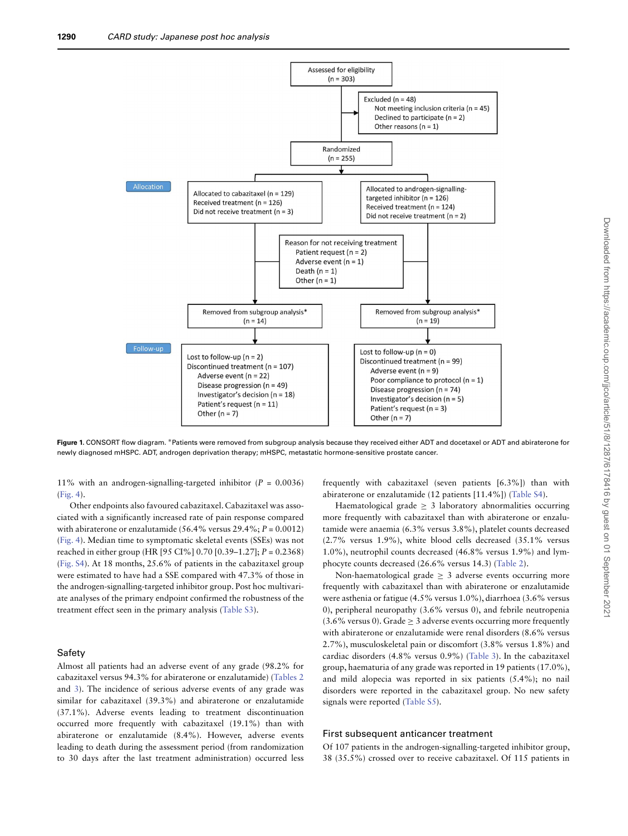

<span id="page-3-0"></span>**Figure 1.** CONSORT flow diagram. ∗Patients were removed from subgroup analysis because they received either ADT and docetaxel or ADT and abiraterone for newly diagnosed mHSPC. ADT, androgen deprivation therapy; mHSPC, metastatic hormone-sensitive prostate cancer.

11% with an androgen-signalling-targeted inhibitor ( $P = 0.0036$ ) [\(Fig. 4\)](#page-7-0).

Other endpoints also favoured cabazitaxel. Cabazitaxel was associated with a significantly increased rate of pain response compared with abiraterone or enzalutamide (56.4% versus  $29.4\%$ ;  $P = 0.0012$ ) [\(Fig. 4\)](#page-7-0). Median time to symptomatic skeletal events (SSEs) was not reached in either group (HR [95 CI%] 0.70 [0.39–1.27]; P = 0.2368) [\(Fig. S4\)](https://academic.oup.com/jjco/article-lookup/doi/10.1093/jjco/hyab028#supplementary-data). At 18 months, 25.6% of patients in the cabazitaxel group were estimated to have had a SSE compared with 47.3% of those in the androgen-signalling-targeted inhibitor group. Post hoc multivariate analyses of the primary endpoint confirmed the robustness of the treatment effect seen in the primary analysis [\(Table S3\)](https://academic.oup.com/jjco/article-lookup/doi/10.1093/jjco/hyab028#supplementary-data).

## Safety

Almost all patients had an adverse event of any grade (98.2% for cabazitaxel versus 94.3% for abiraterone or enzalutamide) [\(Tables 2](#page-4-1) and [3\)](#page-8-0). The incidence of serious adverse events of any grade was similar for cabazitaxel (39.3%) and abiraterone or enzalutamide (37.1%). Adverse events leading to treatment discontinuation occurred more frequently with cabazitaxel (19.1%) than with abiraterone or enzalutamide (8.4%). However, adverse events leading to death during the assessment period (from randomization to 30 days after the last treatment administration) occurred less

frequently with cabazitaxel (seven patients [6.3%]) than with abiraterone or enzalutamide (12 patients [11.4%]) [\(Table S4\)](https://academic.oup.com/jjco/article-lookup/doi/10.1093/jjco/hyab028#supplementary-data).

Haematological grade  $\geq$  3 laboratory abnormalities occurring more frequently with cabazitaxel than with abiraterone or enzalutamide were anaemia (6.3% versus 3.8%), platelet counts decreased (2.7% versus 1.9%), white blood cells decreased (35.1% versus 1.0%), neutrophil counts decreased (46.8% versus 1.9%) and lymphocyte counts decreased (26.6% versus 14.3) [\(Table 2\)](#page-4-1).

Non-haematological grade  $\geq$  3 adverse events occurring more frequently with cabazitaxel than with abiraterone or enzalutamide were asthenia or fatigue (4.5% versus 1.0%), diarrhoea (3.6% versus 0), peripheral neuropathy (3.6% versus 0), and febrile neutropenia  $(3.6\%$  versus 0). Grade  $\geq 3$  adverse events occurring more frequently with abiraterone or enzalutamide were renal disorders (8.6% versus 2.7%), musculoskeletal pain or discomfort (3.8% versus 1.8%) and cardiac disorders (4.8% versus 0.9%) [\(Table 3\)](#page-8-0). In the cabazitaxel group, haematuria of any grade was reported in 19 patients (17.0%), and mild alopecia was reported in six patients (5.4%); no nail disorders were reported in the cabazitaxel group. No new safety signals were reported [\(Table S5\)](https://academic.oup.com/jjco/article-lookup/doi/10.1093/jjco/hyab028#supplementary-data).

#### First subsequent anticancer treatment

Of 107 patients in the androgen-signalling-targeted inhibitor group, 38 (35.5%) crossed over to receive cabazitaxel. Of 115 patients in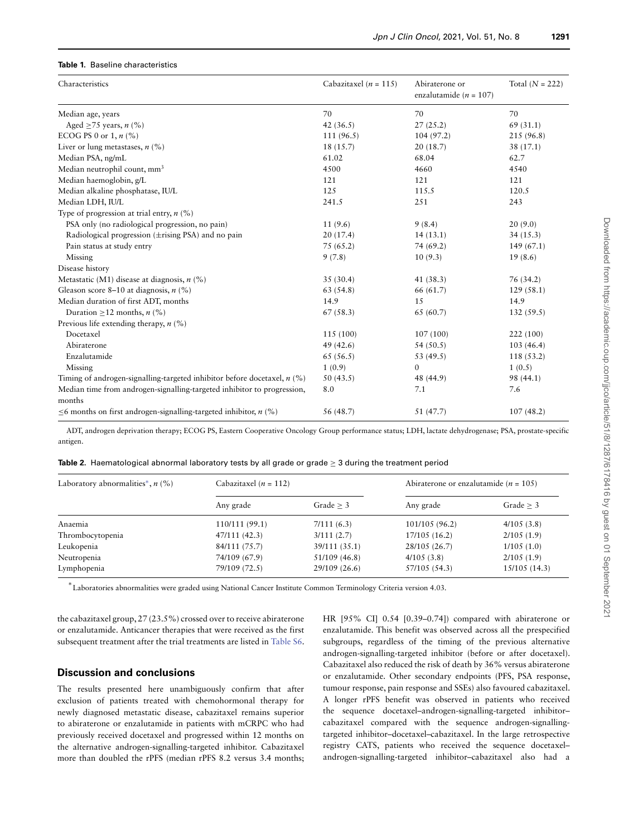#### <span id="page-4-0"></span>**Table 1.** Baseline characteristics

| Characteristics                                                               | Cabazitaxel ( $n = 115$ ) | Abiraterone or<br>enzalutamide ( $n = 107$ ) | Total $(N = 222)$ |
|-------------------------------------------------------------------------------|---------------------------|----------------------------------------------|-------------------|
| Median age, years                                                             | 70                        | 70                                           | 70                |
| Aged $\geq$ 75 years, <i>n</i> (%)                                            | 42 $(36.5)$               | 27(25.2)                                     | 69 (31.1)         |
| ECOG PS 0 or 1, $n$ (%)                                                       | 111(96.5)                 | 104 (97.2)                                   | 215 (96.8)        |
| Liver or lung metastases, $n$ (%)                                             | 18 (15.7)                 | 20(18.7)                                     | 38 (17.1)         |
| Median PSA, ng/mL                                                             | 61.02                     | 68.04                                        | 62.7              |
| Median neutrophil count, mm <sup>3</sup>                                      | 4500                      | 4660                                         | 4540              |
| Median haemoglobin, g/L                                                       | 121                       | 121                                          | 121               |
| Median alkaline phosphatase, IU/L                                             | 125                       | 115.5                                        | 120.5             |
| Median LDH, IU/L                                                              | 241.5                     | 251                                          | 243               |
| Type of progression at trial entry, $n$ (%)                                   |                           |                                              |                   |
| PSA only (no radiological progression, no pain)                               | 11(9.6)                   | 9(8.4)                                       | 20(9.0)           |
| Radiological progression $(\pm$ rising PSA) and no pain                       | 20(17.4)                  | 14(13.1)                                     | 34(15.3)          |
| Pain status at study entry                                                    | 75(65.2)                  | 74 (69.2)                                    | 149(67.1)         |
| Missing                                                                       | 9(7.8)                    | 10(9.3)                                      | 19(8.6)           |
| Disease history                                                               |                           |                                              |                   |
| Metastatic (M1) disease at diagnosis, $n$ (%)                                 | 35(30.4)                  | 41 (38.3)                                    | 76 (34.2)         |
| Gleason score 8–10 at diagnosis, $n$ (%)                                      | 63 (54.8)                 | 66 (61.7)                                    | 129(58.1)         |
| Median duration of first ADT, months                                          | 14.9                      | 15                                           | 14.9              |
| Duration $\geq$ 12 months, <i>n</i> (%)                                       | 67(58.3)                  | 65 (60.7)                                    | 132(59.5)         |
| Previous life extending therapy, $n$ (%)                                      |                           |                                              |                   |
| Docetaxel                                                                     | 115 (100)                 | 107(100)                                     | 222 (100)         |
| Abiraterone                                                                   | 49 (42.6)                 | 54(50.5)                                     | 103(46.4)         |
| Enzalutamide                                                                  | 65(56.5)                  | 53 (49.5)                                    | 118 (53.2)        |
| Missing                                                                       | 1(0.9)                    | $\mathbf{0}$                                 | 1(0.5)            |
| Timing of androgen-signalling-targeted inhibitor before docetaxel, $n$ (%)    | 50(43.5)                  | 48 (44.9)                                    | 98 (44.1)         |
| Median time from androgen-signalling-targeted inhibitor to progression,       | 8.0                       | 7.1                                          | 7.6               |
| months                                                                        |                           |                                              |                   |
| $\leq$ 6 months on first androgen-signalling-targeted inhibitor, <i>n</i> (%) | 56 (48.7)                 | 51 (47.7)                                    | 107(48.2)         |

ADT, androgen deprivation therapy; ECOG PS, Eastern Cooperative Oncology Group performance status; LDH, lactate dehydrogenase; PSA, prostate-specific antigen.

<span id="page-4-1"></span>

|  | Table 2. Haematological abnormal laboratory tests by all grade or grade $\geq 3$ during the treatment period |  |  |  |  |  |  |  |  |  |  |  |
|--|--------------------------------------------------------------------------------------------------------------|--|--|--|--|--|--|--|--|--|--|--|
|--|--------------------------------------------------------------------------------------------------------------|--|--|--|--|--|--|--|--|--|--|--|

| Laboratory abnormalities <sup>*</sup> , $n$ (%) | Cabazitaxel ( $n = 112$ ) |               | Abiraterone or enzalutamide ( $n = 105$ ) |              |  |
|-------------------------------------------------|---------------------------|---------------|-------------------------------------------|--------------|--|
|                                                 | Any grade                 | Grade $>$ 3   | Any grade                                 | Grade $>$ 3  |  |
| Anaemia                                         | 110/111 (99.1)            | 7/111(6.3)    | 101/105(96.2)                             | 4/105(3.8)   |  |
| Thrombocytopenia                                | 47/111 (42.3)             | 3/111(2.7)    | 17/105(16.2)                              | 2/105(1.9)   |  |
| Leukopenia                                      | 84/111 (75.7)             | 39/111 (35.1) | 28/105 (26.7)                             | 1/105(1.0)   |  |
| Neutropenia                                     | 74/109 (67.9)             | 51/109 (46.8) | 4/105(3.8)                                | 2/105(1.9)   |  |
| Lymphopenia                                     | 79/109 (72.5)             | 29/109 (26.6) | 57/105 (54.3)                             | 15/105(14.3) |  |

∗ Laboratories abnormalities were graded using National Cancer Institute Common Terminology Criteria version 4.03.

the cabazitaxel group, 27 (23.5%) crossed over to receive abiraterone or enzalutamide. Anticancer therapies that were received as the first subsequent treatment after the trial treatments are listed in [Table S6.](https://academic.oup.com/jjco/article-lookup/doi/10.1093/jjco/hyab028#supplementary-data)

#### **Discussion and conclusions**

The results presented here unambiguously confirm that after exclusion of patients treated with chemohormonal therapy for newly diagnosed metastatic disease, cabazitaxel remains superior to abiraterone or enzalutamide in patients with mCRPC who had previously received docetaxel and progressed within 12 months on the alternative androgen-signalling-targeted inhibitor. Cabazitaxel more than doubled the rPFS (median rPFS 8.2 versus 3.4 months; HR [95% CI] 0.54 [0.39–0.74]) compared with abiraterone or enzalutamide. This benefit was observed across all the prespecified subgroups, regardless of the timing of the previous alternative androgen-signalling-targeted inhibitor (before or after docetaxel). Cabazitaxel also reduced the risk of death by 36% versus abiraterone or enzalutamide. Other secondary endpoints (PFS, PSA response, tumour response, pain response and SSEs) also favoured cabazitaxel. A longer rPFS benefit was observed in patients who received the sequence docetaxel–androgen-signalling-targeted inhibitor– cabazitaxel compared with the sequence androgen-signallingtargeted inhibitor–docetaxel–cabazitaxel. In the large retrospective registry CATS, patients who received the sequence docetaxel– androgen-signalling-targeted inhibitor–cabazitaxel also had a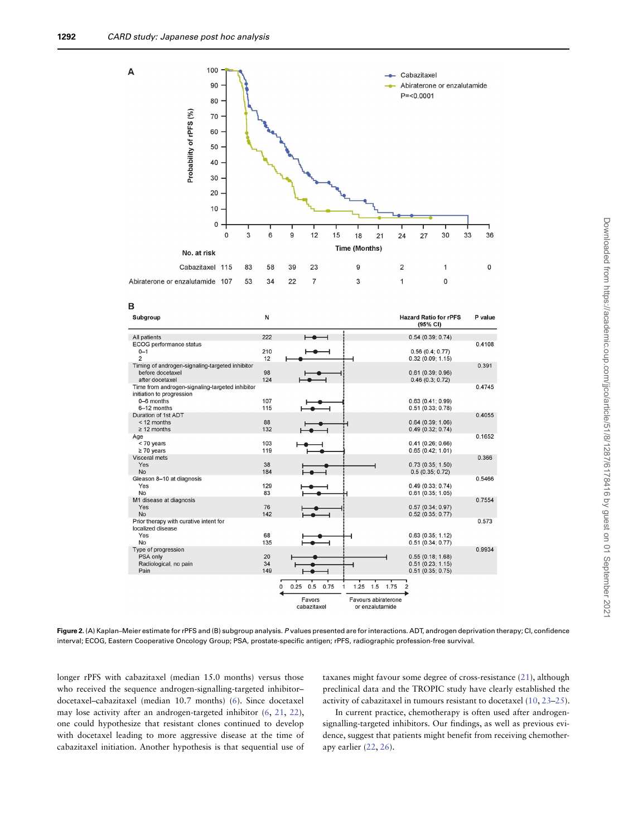

<span id="page-5-0"></span>**Figure 2.** (A) Kaplan–Meier estimate for rPFS and (B) subgroup analysis. P values presented are for interactions. ADT, androgen deprivation therapy; CI, confidence interval; ECOG, Eastern Cooperative Oncology Group; PSA, prostate-specific antigen; rPFS, radiographic profession-free survival.

longer rPFS with cabazitaxel (median 15.0 months) versus those who received the sequence androgen-signalling-targeted inhibitor– docetaxel–cabazitaxel (median 10.7 months) [\(6\)](#page-9-3). Since docetaxel may lose activity after an androgen-targeted inhibitor [\(6,](#page-9-3) [21,](#page-10-5) [22\)](#page-10-6), one could hypothesize that resistant clones continued to develop with docetaxel leading to more aggressive disease at the time of cabazitaxel initiation. Another hypothesis is that sequential use of taxanes might favour some degree of cross-resistance [\(21\)](#page-10-5), although preclinical data and the TROPIC study have clearly established the activity of cabazitaxel in tumours resistant to docetaxel [\(10,](#page-9-6) [23–](#page-10-7)[25\)](#page-10-8).

In current practice, chemotherapy is often used after androgensignalling-targeted inhibitors. Our findings, as well as previous evidence, suggest that patients might benefit from receiving chemotherapy earlier [\(22,](#page-10-6) [26\)](#page-10-9).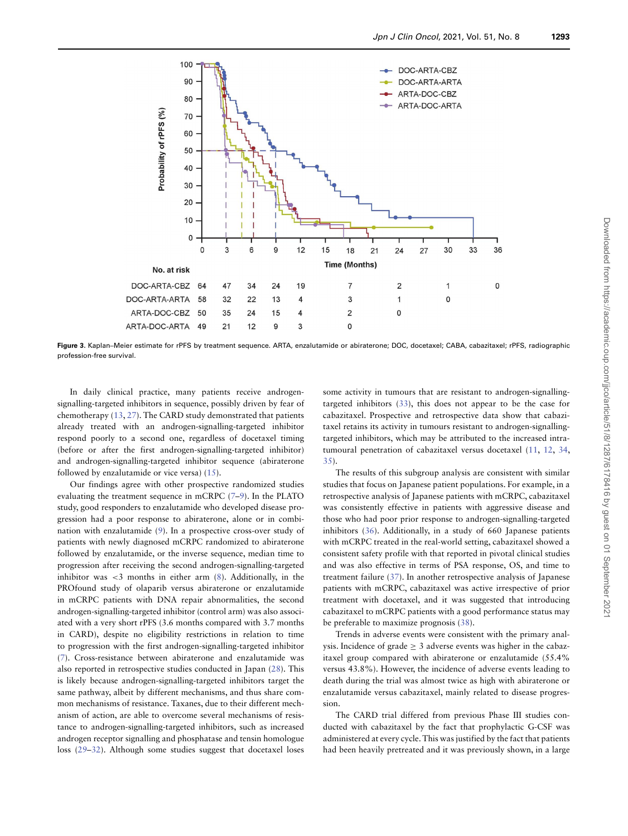

<span id="page-6-0"></span>**Figure 3.** Kaplan–Meier estimate for rPFS by treatment sequence. ARTA, enzalutamide or abiraterone; DOC, docetaxel; CABA, cabazitaxel; rPFS, radiographic profession-free survival.

In daily clinical practice, many patients receive androgensignalling-targeted inhibitors in sequence, possibly driven by fear of chemotherapy [\(13,](#page-9-8) [27\)](#page-10-10). The CARD study demonstrated that patients already treated with an androgen-signalling-targeted inhibitor respond poorly to a second one, regardless of docetaxel timing (before or after the first androgen-signalling-targeted inhibitor) and androgen-signalling-targeted inhibitor sequence (abiraterone followed by enzalutamide or vice versa) [\(15\)](#page-9-10).

Our findings agree with other prospective randomized studies evaluating the treatment sequence in mCRPC [\(7](#page-9-4)[–9\)](#page-9-5). In the PLATO study, good responders to enzalutamide who developed disease progression had a poor response to abiraterone, alone or in combination with enzalutamide [\(9\)](#page-9-5). In a prospective cross-over study of patients with newly diagnosed mCRPC randomized to abiraterone followed by enzalutamide, or the inverse sequence, median time to progression after receiving the second androgen-signalling-targeted inhibitor was *<*3 months in either arm [\(8\)](#page-9-12). Additionally, in the PROfound study of olaparib versus abiraterone or enzalutamide in mCRPC patients with DNA repair abnormalities, the second androgen-signalling-targeted inhibitor (control arm) was also associated with a very short rPFS (3.6 months compared with 3.7 months in CARD), despite no eligibility restrictions in relation to time to progression with the first androgen-signalling-targeted inhibitor [\(7\)](#page-9-4). Cross-resistance between abiraterone and enzalutamide was also reported in retrospective studies conducted in Japan [\(28\)](#page-10-11). This is likely because androgen-signalling-targeted inhibitors target the same pathway, albeit by different mechanisms, and thus share common mechanisms of resistance. Taxanes, due to their different mechanism of action, are able to overcome several mechanisms of resistance to androgen-signalling-targeted inhibitors, such as increased androgen receptor signalling and phosphatase and tensin homologue loss [\(29–](#page-10-12)[32\)](#page-10-13). Although some studies suggest that docetaxel loses some activity in tumours that are resistant to androgen-signallingtargeted inhibitors [\(33\)](#page-10-14), this does not appear to be the case for cabazitaxel. Prospective and retrospective data show that cabazitaxel retains its activity in tumours resistant to androgen-signallingtargeted inhibitors, which may be attributed to the increased intratumoural penetration of cabazitaxel versus docetaxel [\(11,](#page-9-13) [12,](#page-9-7) [34,](#page-10-15) [35\)](#page-10-16).

The results of this subgroup analysis are consistent with similar studies that focus on Japanese patient populations. For example, in a retrospective analysis of Japanese patients with mCRPC, cabazitaxel was consistently effective in patients with aggressive disease and those who had poor prior response to androgen-signalling-targeted inhibitors [\(36\)](#page-10-17). Additionally, in a study of 660 Japanese patients with mCRPC treated in the real-world setting, cabazitaxel showed a consistent safety profile with that reported in pivotal clinical studies and was also effective in terms of PSA response, OS, and time to treatment failure [\(37\)](#page-10-18). In another retrospective analysis of Japanese patients with mCRPC, cabazitaxel was active irrespective of prior treatment with docetaxel, and it was suggested that introducing cabazitaxel to mCRPC patients with a good performance status may be preferable to maximize prognosis [\(38\)](#page-10-19).

Trends in adverse events were consistent with the primary analysis. Incidence of grade  $\geq$  3 adverse events was higher in the cabazitaxel group compared with abiraterone or enzalutamide (55.4% versus 43.8%). However, the incidence of adverse events leading to death during the trial was almost twice as high with abiraterone or enzalutamide versus cabazitaxel, mainly related to disease progression.

The CARD trial differed from previous Phase III studies conducted with cabazitaxel by the fact that prophylactic G-CSF was administered at every cycle. This was justified by the fact that patients had been heavily pretreated and it was previously shown, in a large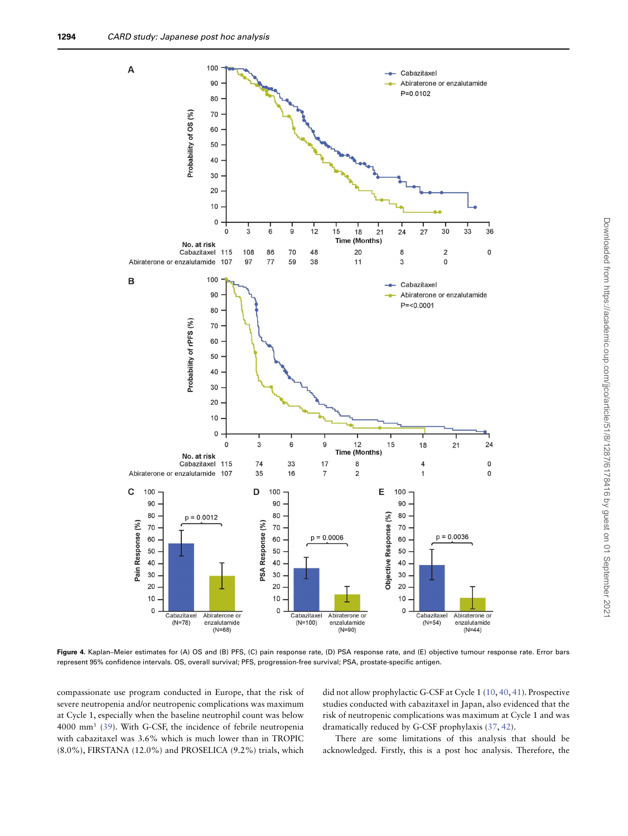

<span id="page-7-0"></span>**Figure 4.** Kaplan–Meier estimates for (A) OS and (B) PFS, (C) pain response rate, (D) PSA response rate, and (E) objective tumour response rate. Error bars represent 95% confidence intervals. OS, overall survival; PFS, progression-free survival; PSA, prostate-specific antigen.

compassionate use program conducted in Europe, that the risk of severe neutropenia and/or neutropenic complications was maximum at Cycle 1, especially when the baseline neutrophil count was below 4000 mm3 [\(39\)](#page-10-20). With G-CSF, the incidence of febrile neutropenia with cabazitaxel was 3.6% which is much lower than in TROPIC  $(8.0\%)$ , FIRSTANA  $(12.0\%)$  and PROSELICA  $(9.2\%)$  trials, which

did not allow prophylactic G-CSF at Cycle 1 [\(10,](#page-9-6) [40,](#page-10-21) [41\)](#page-10-22). Prospective studies conducted with cabazitaxel in Japan, also evidenced that the risk of neutropenic complications was maximum at Cycle 1 and was dramatically reduced by G-CSF prophylaxis [\(37,](#page-10-18) [42\)](#page-10-23).

There are some limitations of this analysis that should be acknowledged. Firstly, this is a post hoc analysis. Therefore, the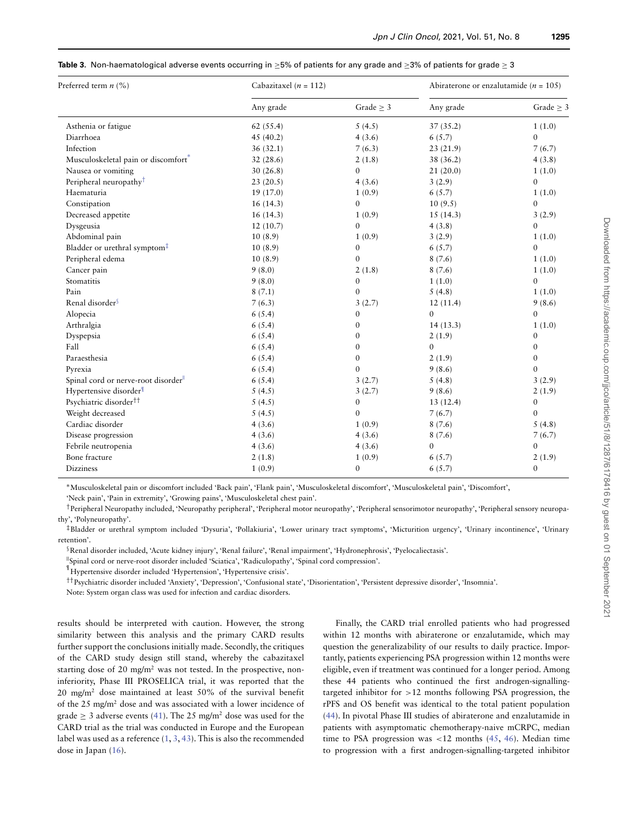<span id="page-8-0"></span>

| <b>Table 3.</b> Non-haematological adverse events occurring in $\geq$ 5% of patients for any grade and $\geq$ 3% of patients for grade $\geq$ 3 |  |
|-------------------------------------------------------------------------------------------------------------------------------------------------|--|
|-------------------------------------------------------------------------------------------------------------------------------------------------|--|

| Preferred term $n$ (%)                   | Cabazitaxel ( $n = 112$ ) |                  | Abiraterone or enzalutamide ( $n = 105$ ) |                  |  |
|------------------------------------------|---------------------------|------------------|-------------------------------------------|------------------|--|
|                                          | Any grade                 | Grade $\geq$ 3   | Any grade                                 | Grade $\geq$ 3   |  |
| Asthenia or fatigue                      | 62(55.4)                  | 5(4.5)           | 37(35.2)                                  | 1(1.0)           |  |
| Diarrhoea                                | 45(40.2)                  | 4(3.6)           | 6(5.7)                                    | $\theta$         |  |
| Infection                                | 36(32.1)                  | 7(6.3)           | 23(21.9)                                  | 7(6.7)           |  |
| Musculoskeletal pain or discomfort       | 32(28.6)                  | 2(1.8)           | 38 (36.2)                                 | 4(3.8)           |  |
| Nausea or vomiting                       | 30(26.8)                  | $\mathbf{0}$     | 21(20.0)                                  | 1(1.0)           |  |
| Peripheral neuropathy <sup>†</sup>       | 23(20.5)                  | 4(3.6)           | 3(2.9)                                    | $\mathbf{0}$     |  |
| Haematuria                               | 19(17.0)                  | 1(0.9)           | 6(5.7)                                    | 1(1.0)           |  |
| Constipation                             | 16(14.3)                  | $\mathbf{0}$     | 10(9.5)                                   | $\mathbf{0}$     |  |
| Decreased appetite                       | 16(14.3)                  | 1(0.9)           | 15(14.3)                                  | 3(2.9)           |  |
| Dysgeusia                                | 12(10.7)                  | $\mathbf{0}$     | 4(3.8)                                    | $\mathbf{0}$     |  |
| Abdominal pain                           | 10(8.9)                   | 1(0.9)           | 3(2.9)                                    | 1(1.0)           |  |
| Bladder or urethral symptom <sup>‡</sup> | 10(8.9)                   | $\mathbf{0}$     | 6(5.7)                                    | $\Omega$         |  |
| Peripheral edema                         | 10(8.9)                   | $\mathbf{0}$     | 8(7.6)                                    | 1(1.0)           |  |
| Cancer pain                              | 9(8.0)                    | 2(1.8)           | 8(7.6)                                    | 1(1.0)           |  |
| Stomatitis                               | 9(8.0)                    | $\mathbf{0}$     | 1(1.0)                                    | $\mathbf{0}$     |  |
| Pain                                     | 8(7.1)                    | $\mathbf{0}$     | 5(4.8)                                    | 1(1.0)           |  |
| Renal disorder <sup>§</sup>              | 7(6.3)                    | 3(2.7)           | 12(11.4)                                  | 9(8.6)           |  |
| Alopecia                                 | 6(5.4)                    | $\mathbf{0}$     | $\theta$                                  | $\theta$         |  |
| Arthralgia                               | 6(5.4)                    | $\mathbf{0}$     | 14(13.3)                                  | 1(1.0)           |  |
| Dyspepsia                                | 6(5.4)                    | $\mathbf{0}$     | 2(1.9)                                    | $\mathbf{0}$     |  |
| Fall                                     | 6(5.4)                    | $\mathbf{0}$     | $\theta$                                  | $\mathbf{0}$     |  |
| Paraesthesia                             | 6(5.4)                    | $\boldsymbol{0}$ | 2(1.9)                                    | $\mathbf{0}$     |  |
| Pyrexia                                  | 6(5.4)                    | $\mathbf{0}$     | 9(8.6)                                    | $\mathbf{0}$     |  |
| Spinal cord or nerve-root disorder       | 6(5.4)                    | 3(2.7)           | 5(4.8)                                    | 3(2.9)           |  |
| Hypertensive disorder <sup>¶</sup>       | 5(4.5)                    | 3(2.7)           | 9(8.6)                                    | 2(1.9)           |  |
| Psychiatric disorder <sup>††</sup>       | 5(4.5)                    | $\mathbf{0}$     | 13(12.4)                                  | $\mathbf{0}$     |  |
| Weight decreased                         | 5(4.5)                    | $\mathbf{0}$     | 7(6.7)                                    | $\mathbf{0}$     |  |
| Cardiac disorder                         | 4(3.6)                    | 1(0.9)           | 8(7.6)                                    | 5(4.8)           |  |
| Disease progression                      | 4(3.6)                    | 4(3.6)           | 8(7.6)                                    | 7(6.7)           |  |
| Febrile neutropenia                      | 4(3.6)                    | 4(3.6)           | $\mathbf{0}$                              | $\boldsymbol{0}$ |  |
| Bone fracture                            | 2(1.8)                    | 1(0.9)           | 6(5.7)                                    | 2(1.9)           |  |
| <b>Dizziness</b>                         | 1(0.9)                    | $\boldsymbol{0}$ | 6(5.7)                                    | $\mathbf{0}$     |  |

∗Musculoskeletal pain or discomfort included 'Back pain', 'Flank pain', 'Musculoskeletal discomfort', 'Musculoskeletal pain', 'Discomfort',

'Neck pain', 'Pain in extremity', 'Growing pains', 'Musculoskeletal chest pain'.

†Peripheral Neuropathy included, 'Neuropathy peripheral', 'Peripheral motor neuropathy', 'Peripheral sensorimotor neuropathy', 'Peripheral sensory neuropathy', 'Polyneuropathy'.

‡Bladder or urethral symptom included 'Dysuria', 'Pollakiuria', 'Lower urinary tract symptoms', 'Micturition urgency', 'Urinary incontinence', 'Urinary retention'.

§Renal disorder included, 'Acute kidney injury', 'Renal failure', 'Renal impairment', 'Hydronephrosis', 'Pyelocaliectasis'.

||Spinal cord or nerve-root disorder included 'Sciatica', 'Radiculopathy', 'Spinal cord compression'.

¶ Hypertensive disorder included 'Hypertension', 'Hypertensive crisis'.

††Psychiatric disorder included 'Anxiety', 'Depression', 'Confusional state', 'Disorientation', 'Persistent depressive disorder', 'Insomnia'.

Note: System organ class was used for infection and cardiac disorders.

results should be interpreted with caution. However, the strong similarity between this analysis and the primary CARD results further support the conclusions initially made. Secondly, the critiques of the CARD study design still stand, whereby the cabazitaxel starting dose of 20 mg/m<sup>2</sup> was not tested. In the prospective, noninferiority, Phase III PROSELICA trial, it was reported that the 20 mg/m2 dose maintained at least 50% of the survival benefit of the 25 mg/m2 dose and was associated with a lower incidence of grade  $\geq$  3 adverse events [\(41\)](#page-10-22). The 25 mg/m<sup>2</sup> dose was used for the CARD trial as the trial was conducted in Europe and the European label was used as a reference [\(1,](#page-9-0) [3,](#page-9-1) [43\)](#page-10-24). This is also the recommended dose in Japan [\(16\)](#page-10-0).

Finally, the CARD trial enrolled patients who had progressed within 12 months with abiraterone or enzalutamide, which may question the generalizability of our results to daily practice. Importantly, patients experiencing PSA progression within 12 months were eligible, even if treatment was continued for a longer period. Among these 44 patients who continued the first androgen-signallingtargeted inhibitor for *>*12 months following PSA progression, the rPFS and OS benefit was identical to the total patient population [\(44\)](#page-10-25). In pivotal Phase III studies of abiraterone and enzalutamide in patients with asymptomatic chemotherapy-naive mCRPC, median time to PSA progression was *<*12 months [\(45,](#page-10-26) [46\)](#page-10-27). Median time to progression with a first androgen-signalling-targeted inhibitor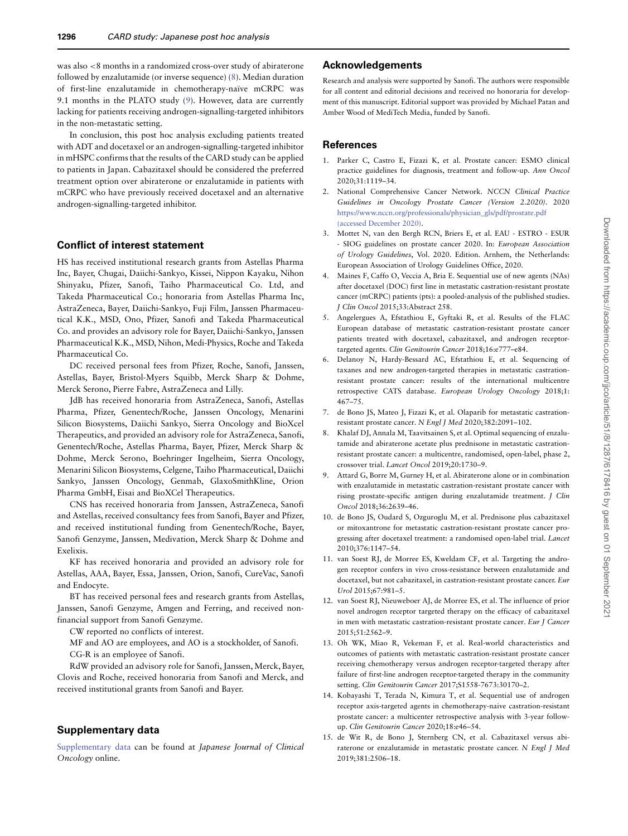was also *<*8 months in a randomized cross-over study of abiraterone followed by enzalutamide (or inverse sequence) [\(8\)](#page-9-12). Median duration of first-line enzalutamide in chemotherapy-naïve mCRPC was 9.1 months in the PLATO study [\(9\)](#page-9-5). However, data are currently lacking for patients receiving androgen-signalling-targeted inhibitors in the non-metastatic setting.

In conclusion, this post hoc analysis excluding patients treated with ADT and docetaxel or an androgen-signalling-targeted inhibitor in mHSPC confirms that the results of the CARD study can be applied to patients in Japan. Cabazitaxel should be considered the preferred treatment option over abiraterone or enzalutamide in patients with mCRPC who have previously received docetaxel and an alternative androgen-signalling-targeted inhibitor.

#### **Conflict of interest statement**

HS has received institutional research grants from Astellas Pharma Inc, Bayer, Chugai, Daiichi-Sankyo, Kissei, Nippon Kayaku, Nihon Shinyaku, Pfizer, Sanofi, Taiho Pharmaceutical Co. Ltd, and Takeda Pharmaceutical Co.; honoraria from Astellas Pharma Inc, AstraZeneca, Bayer, Daiichi-Sankyo, Fuji Film, Janssen Pharmaceutical K.K., MSD, Ono, Pfizer, Sanofi and Takeda Pharmaceutical Co. and provides an advisory role for Bayer, Daiichi-Sankyo, Janssen Pharmaceutical K.K., MSD, Nihon, Medi-Physics, Roche and Takeda Pharmaceutical Co.

DC received personal fees from Pfizer, Roche, Sanofi, Janssen, Astellas, Bayer, Bristol-Myers Squibb, Merck Sharp & Dohme, Merck Serono, Pierre Fabre, AstraZeneca and Lilly.

JdB has received honoraria from AstraZeneca, Sanofi, Astellas Pharma, Pfizer, Genentech/Roche, Janssen Oncology, Menarini Silicon Biosystems, Daiichi Sankyo, Sierra Oncology and BioXcel Therapeutics, and provided an advisory role for AstraZeneca, Sanofi, Genentech/Roche, Astellas Pharma, Bayer, Pfizer, Merck Sharp & Dohme, Merck Serono, Boehringer Ingelheim, Sierra Oncology, Menarini Silicon Biosystems, Celgene, Taiho Pharmaceutical, Daiichi Sankyo, Janssen Oncology, Genmab, GlaxoSmithKline, Orion Pharma GmbH, Eisai and BioXCel Therapeutics.

CNS has received honoraria from Janssen, AstraZeneca, Sanofi and Astellas, received consultancy fees from Sanofi, Bayer and Pfizer, and received institutional funding from Genentech/Roche, Bayer, Sanofi Genzyme, Janssen, Medivation, Merck Sharp & Dohme and Exelixis.

KF has received honoraria and provided an advisory role for Astellas, AAA, Bayer, Essa, Janssen, Orion, Sanofi, CureVac, Sanofi and Endocyte.

BT has received personal fees and research grants from Astellas, Janssen, Sanofi Genzyme, Amgen and Ferring, and received nonfinancial support from Sanofi Genzyme.

CW reported no conflicts of interest.

MF and AO are employees, and AO is a stockholder, of Sanofi. CG-R is an employee of Sanofi.

RdW provided an advisory role for Sanofi, Janssen, Merck, Bayer, Clovis and Roche, received honoraria from Sanofi and Merck, and received institutional grants from Sanofi and Bayer.

### **Supplementary data**

[Supplementary data](https://academic.oup.com/jjco/article-lookup/doi/10.1093/jjco/hyab028#supplementary-data) can be found at Japanese Journal of Clinical Oncology online.

# **Acknowledgements**

Research and analysis were supported by Sanofi. The authors were responsible for all content and editorial decisions and received no honoraria for development of this manuscript. Editorial support was provided by Michael Patan and Amber Wood of MediTech Media, funded by Sanofi.

#### **References**

- <span id="page-9-0"></span>1. Parker C, Castro E, Fizazi K, et al. Prostate cancer: ESMO clinical practice guidelines for diagnosis, treatment and follow-up. Ann Oncol 2020;31:1119–34.
- <span id="page-9-11"></span>2. National Comprehensive Cancer Network. NCCN Clinical Practice Guidelines in Oncology Prostate Cancer (Version 2.2020). 2020 [https://www.nccn.org/professionals/physician\\_gls/pdf/prostate.pdf](https://doi.org/https://www.nccn.org/professionals/physician_gls/pdf/prostate.pdf \ignorespaces (accessed \ignorespaces December \ignorespaces 2020)) (accessed December 2020).
- <span id="page-9-1"></span>3. Mottet N, van den Bergh RCN, Briers E, et al. EAU - ESTRO - ESUR - SIOG guidelines on prostate cancer 2020. In: European Association of Urology Guidelines, Vol. 2020. Edition. Arnhem, the Netherlands: European Association of Urology Guidelines Office, 2020.
- <span id="page-9-2"></span>4. Maines F, Caffo O, Veccia A, Bria E. Sequential use of new agents (NAs) after docetaxel (DOC) first line in metastatic castration-resistant prostate cancer (mCRPC) patients (pts): a pooled-analysis of the published studies. J Clin Oncol 2015;33:Abstract 258.
- 5. Angelergues A, Efstathiou E, Gyftaki R, et al. Results of the FLAC European database of metastatic castration-resistant prostate cancer patients treated with docetaxel, cabazitaxel, and androgen receptortargeted agents. Clin Genitourin Cancer 2018;16:e777–e84.
- <span id="page-9-3"></span>6. Delanoy N, Hardy-Bessard AC, Efstathiou E, et al. Sequencing of taxanes and new androgen-targeted therapies in metastatic castrationresistant prostate cancer: results of the international multicentre retrospective CATS database. European Urology Oncology 2018;1: 467–75.
- <span id="page-9-4"></span>7. de Bono JS, Mateo J, Fizazi K, et al. Olaparib for metastatic castrationresistant prostate cancer. N Engl J Med 2020;382:2091–102.
- <span id="page-9-12"></span>8. Khalaf DJ, Annala M, Taavitsainen S, et al. Optimal sequencing of enzalutamide and abiraterone acetate plus prednisone in metastatic castrationresistant prostate cancer: a multicentre, randomised, open-label, phase 2, crossover trial. Lancet Oncol 2019;20:1730–9.
- <span id="page-9-5"></span>9. Attard G, Borre M, Gurney H, et al. Abiraterone alone or in combination with enzalutamide in metastatic castration-resistant prostate cancer with rising prostate-specific antigen during enzalutamide treatment. J Clin Oncol 2018;36:2639–46.
- <span id="page-9-6"></span>10. de Bono JS, Oudard S, Ozguroglu M, et al. Prednisone plus cabazitaxel or mitoxantrone for metastatic castration-resistant prostate cancer progressing after docetaxel treatment: a randomised open-label trial. Lancet 2010;376:1147–54.
- <span id="page-9-13"></span>11. van Soest RJ, de Morree ES, Kweldam CF, et al. Targeting the androgen receptor confers in vivo cross-resistance between enzalutamide and docetaxel, but not cabazitaxel, in castration-resistant prostate cancer. Eur Urol 2015;67:981–5.
- <span id="page-9-7"></span>12. van Soest RJ, Nieuweboer AJ, de Morree ES, et al. The influence of prior novel androgen receptor targeted therapy on the efficacy of cabazitaxel in men with metastatic castration-resistant prostate cancer. Eur J Cancer 2015;51:2562–9.
- <span id="page-9-8"></span>13. Oh WK, Miao R, Vekeman F, et al. Real-world characteristics and outcomes of patients with metastatic castration-resistant prostate cancer receiving chemotherapy versus androgen receptor-targeted therapy after failure of first-line androgen receptor-targeted therapy in the community setting. Clin Genitourin Cancer 2017;S1558-7673:30170–2.
- <span id="page-9-9"></span>14. Kobayashi T, Terada N, Kimura T, et al. Sequential use of androgen receptor axis-targeted agents in chemotherapy-naive castration-resistant prostate cancer: a multicenter retrospective analysis with 3-year followup. Clin Genitourin Cancer 2020;18:e46–54.
- <span id="page-9-10"></span>15. de Wit R, de Bono J, Sternberg CN, et al. Cabazitaxel versus abiraterone or enzalutamide in metastatic prostate cancer. N Engl J Med 2019;381:2506–18.